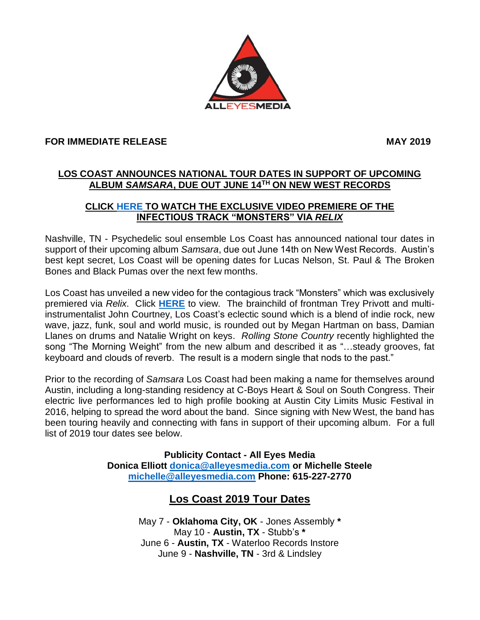

## **FOR IMMEDIATE RELEASE MAY 2019**

## **LOS COAST ANNOUNCES NATIONAL TOUR DATES IN SUPPORT OF UPCOMING ALBUM** *SAMSARA***, DUE OUT JUNE 14TH ON NEW WEST RECORDS**

## **CLICK [HERE](https://relix.com/blogs/detail/video-premiere-los-coast-monsters/) TO WATCH THE EXCLUSIVE VIDEO PREMIERE OF THE INFECTIOUS TRACK "MONSTERS" VIA** *RELIX*

Nashville, TN - Psychedelic soul ensemble Los Coast has announced national tour dates in support of their upcoming album *Samsara*, due out June 14th on New West Records. Austin's best kept secret, Los Coast will be opening dates for Lucas Nelson, St. Paul & The Broken Bones and Black Pumas over the next few months.

Los Coast has unveiled a new video for the contagious track "Monsters" which was exclusively premiered via *Relix*. Click **[HERE](https://relix.com/blogs/detail/video-premiere-los-coast-monsters/)** to view. The brainchild of frontman Trey Privott and multiinstrumentalist John Courtney, Los Coast's eclectic sound which is a blend of indie rock, new wave, jazz, funk, soul and world music, is rounded out by Megan Hartman on bass, Damian Llanes on drums and Natalie Wright on keys. *Rolling Stone Country* recently highlighted the song "The Morning Weight" from the new album and described it as "…steady grooves, fat keyboard and clouds of reverb. The result is a modern single that nods to the past."

Prior to the recording of *Samsara* Los Coast had been making a name for themselves around Austin, including a long-standing residency at C-Boys Heart & Soul on South Congress. Their electric live performances led to high profile booking at Austin City Limits Music Festival in 2016, helping to spread the word about the band. Since signing with New West, the band has been touring heavily and connecting with fans in support of their upcoming album. For a full list of 2019 tour dates see below.

> **Publicity Contact - All Eyes Media Donica Elliott [donica@alleyesmedia.com](mailto:donica@alleyesmedia.com) or Michelle Steele [michelle@alleyesmedia.com](mailto:michelle@alleyesmedia.com) Phone: 615-227-2770**

## **Los Coast 2019 Tour Dates**

May 7 - **Oklahoma City, OK** - Jones Assembly **\*** May 10 - **Austin, TX** - Stubb's **\*** June 6 - **Austin, TX** - Waterloo Records Instore June 9 - **Nashville, TN** - 3rd & Lindsley